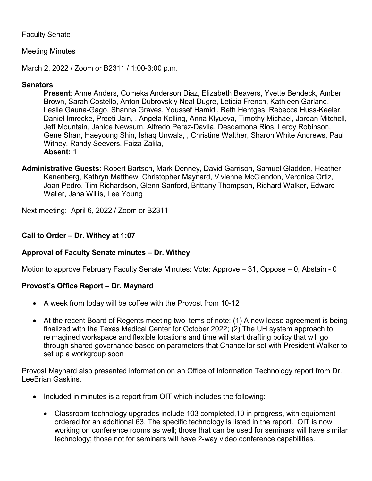# Faculty Senate

# Meeting Minutes

March 2, 2022 / Zoom or B2311 / 1:00-3:00 p.m.

# **Senators**

**Present**: Anne Anders, Comeka Anderson Diaz, Elizabeth Beavers, Yvette Bendeck, Amber Brown, Sarah Costello, Anton Dubrovskiy Neal Dugre, Leticia French, Kathleen Garland, Leslie Gauna-Gago, Shanna Graves, Youssef Hamidi, Beth Hentges, Rebecca Huss-Keeler, Daniel Imrecke, Preeti Jain, , Angela Kelling, Anna Klyueva, Timothy Michael, Jordan Mitchell, Jeff Mountain, Janice Newsum, Alfredo Perez-Davila, Desdamona Rios, Leroy Robinson, Gene Shan, Haeyoung Shin, Ishaq Unwala, , Christine Walther, Sharon White Andrews, Paul Withey, Randy Seevers, Faiza Zalila, **Absent:** 1

**Administrative Guests:** Robert Bartsch, Mark Denney, David Garrison, Samuel Gladden, Heather Kanenberg, Kathryn Matthew, Christopher Maynard, Vivienne McClendon, Veronica Ortiz, Joan Pedro, Tim Richardson, Glenn Sanford, Brittany Thompson, Richard Walker, Edward Waller, Jana Willis, Lee Young

Next meeting: April 6, 2022 / Zoom or B2311

#### **Call to Order – Dr. Withey at 1:07**

## **Approval of Faculty Senate minutes – Dr. Withey**

Motion to approve February Faculty Senate Minutes: Vote: Approve – 31, Oppose – 0, Abstain - 0

## **Provost's Office Report – Dr. Maynard**

- A week from today will be coffee with the Provost from 10-12
- At the recent Board of Regents meeting two items of note: (1) A new lease agreement is being finalized with the Texas Medical Center for October 2022; (2) The UH system approach to reimagined workspace and flexible locations and time will start drafting policy that will go through shared governance based on parameters that Chancellor set with President Walker to set up a workgroup soon

Provost Maynard also presented information on an Office of Information Technology report from Dr. LeeBrian Gaskins.

- Included in minutes is a report from OIT which includes the following:
	- Classroom technology upgrades include 103 completed,10 in progress, with equipment ordered for an additional 63. The specific technology is listed in the report. OIT is now working on conference rooms as well; those that can be used for seminars will have similar technology; those not for seminars will have 2-way video conference capabilities.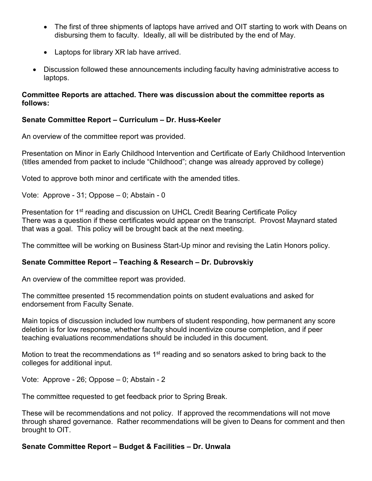- The first of three shipments of laptops have arrived and OIT starting to work with Deans on disbursing them to faculty. Ideally, all will be distributed by the end of May.
- Laptops for library XR lab have arrived.
- Discussion followed these announcements including faculty having administrative access to laptops.

## **Committee Reports are attached. There was discussion about the committee reports as follows:**

# **Senate Committee Report – Curriculum – Dr. Huss-Keeler**

An overview of the committee report was provided.

Presentation on Minor in Early Childhood Intervention and Certificate of Early Childhood Intervention (titles amended from packet to include "Childhood"; change was already approved by college)

Voted to approve both minor and certificate with the amended titles.

Vote: Approve - 31; Oppose – 0; Abstain - 0

Presentation for 1<sup>st</sup> reading and discussion on UHCL Credit Bearing Certificate Policy There was a question if these certificates would appear on the transcript. Provost Maynard stated that was a goal. This policy will be brought back at the next meeting.

The committee will be working on Business Start-Up minor and revising the Latin Honors policy.

## **Senate Committee Report – Teaching & Research – Dr. Dubrovskiy**

An overview of the committee report was provided.

The committee presented 15 recommendation points on student evaluations and asked for endorsement from Faculty Senate.

Main topics of discussion included low numbers of student responding, how permanent any score deletion is for low response, whether faculty should incentivize course completion, and if peer teaching evaluations recommendations should be included in this document.

Motion to treat the recommendations as  $1<sup>st</sup>$  reading and so senators asked to bring back to the colleges for additional input.

Vote: Approve - 26; Oppose – 0; Abstain - 2

The committee requested to get feedback prior to Spring Break.

These will be recommendations and not policy. If approved the recommendations will not move through shared governance. Rather recommendations will be given to Deans for comment and then brought to OIT.

## **Senate Committee Report – Budget & Facilities – Dr. Unwala**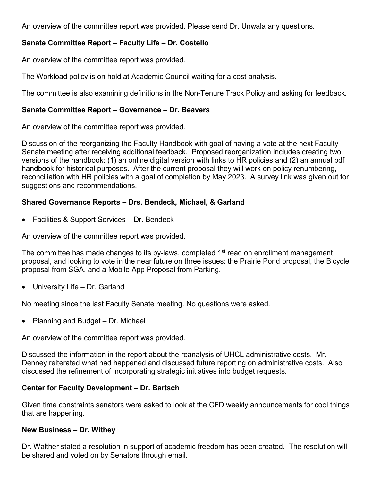An overview of the committee report was provided. Please send Dr. Unwala any questions.

# **Senate Committee Report – Faculty Life – Dr. Costello**

An overview of the committee report was provided.

The Workload policy is on hold at Academic Council waiting for a cost analysis.

The committee is also examining definitions in the Non-Tenure Track Policy and asking for feedback.

# **Senate Committee Report – Governance – Dr. Beavers**

An overview of the committee report was provided.

Discussion of the reorganizing the Faculty Handbook with goal of having a vote at the next Faculty Senate meeting after receiving additional feedback. Proposed reorganization includes creating two versions of the handbook: (1) an online digital version with links to HR policies and (2) an annual pdf handbook for historical purposes. After the current proposal they will work on policy renumbering, reconciliation with HR policies with a goal of completion by May 2023. A survey link was given out for suggestions and recommendations.

# **Shared Governance Reports – Drs. Bendeck, Michael, & Garland**

• Facilities & Support Services – Dr. Bendeck

An overview of the committee report was provided.

The committee has made changes to its by-laws, completed 1<sup>st</sup> read on enrollment management proposal, and looking to vote in the near future on three issues: the Prairie Pond proposal, the Bicycle proposal from SGA, and a Mobile App Proposal from Parking.

• University Life – Dr. Garland

No meeting since the last Faculty Senate meeting. No questions were asked.

• Planning and Budget – Dr. Michael

An overview of the committee report was provided.

Discussed the information in the report about the reanalysis of UHCL administrative costs. Mr. Denney reiterated what had happened and discussed future reporting on administrative costs. Also discussed the refinement of incorporating strategic initiatives into budget requests.

# **Center for Faculty Development – Dr. Bartsch**

Given time constraints senators were asked to look at the CFD weekly announcements for cool things that are happening.

## **New Business – Dr. Withey**

Dr. Walther stated a resolution in support of academic freedom has been created. The resolution will be shared and voted on by Senators through email.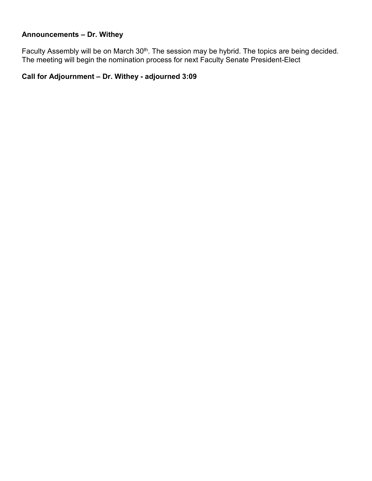# **Announcements – Dr. Withey**

Faculty Assembly will be on March 30<sup>th</sup>. The session may be hybrid. The topics are being decided. The meeting will begin the nomination process for next Faculty Senate President-Elect

# **Call for Adjournment – Dr. Withey - adjourned 3:09**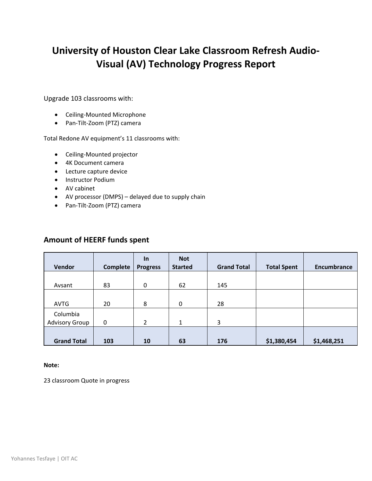# **University of Houston Clear Lake Classroom Refresh Audio-Visual (AV) Technology Progress Report**

Upgrade 103 classrooms with:

- Ceiling-Mounted Microphone
- Pan-Tilt-Zoom (PTZ) camera

Total Redone AV equipment's 11 classrooms with:

- Ceiling-Mounted projector
- 4K Document camera
- Lecture capture device
- Instructor Podium
- AV cabinet
- AV processor (DMPS) delayed due to supply chain
- Pan-Tilt-Zoom (PTZ) camera

# **Amount of HEERF funds spent**

| Vendor                            | <b>Complete</b> | $\ln$<br><b>Progress</b> | <b>Not</b><br><b>Started</b> | <b>Grand Total</b> | <b>Total Spent</b> | Encumbrance |
|-----------------------------------|-----------------|--------------------------|------------------------------|--------------------|--------------------|-------------|
| Avsant                            | 83              | 0                        | 62                           | 145                |                    |             |
| <b>AVTG</b>                       | 20              | 8                        | 0                            | 28                 |                    |             |
| Columbia<br><b>Advisory Group</b> | 0               | 2                        | 1                            | 3                  |                    |             |
| <b>Grand Total</b>                | 103             | 10                       | 63                           | 176                | \$1,380,454        | \$1,468,251 |

#### **Note:**

23 classroom Quote in progress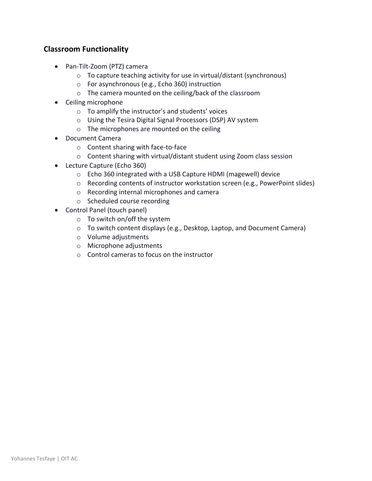# **Classroom Functionality**

- Pan-Tilt-Zoom (PTZ) camera
	- o To capture teaching activity for use in virtual/distant (synchronous)
	- o For asynchronous (e.g., Echo 360) instruction
	- o The camera mounted on the ceiling/back of the classroom
- Ceiling microphone
	- o To amplify the instructor's and students' voices
	- o Using the Tesira Digital Signal Processors (DSP) AV system
	- o The microphones are mounted on the ceiling
- Document Camera
	- o Content sharing with face-to-face
	- o Content sharing with virtual/distant student using Zoom class session
- Lecture Capture (Echo 360)
	- o Echo 360 integrated with a USB Capture HDMI (magewell) device
	- $\circ$  Recording contents of instructor workstation screen (e.g., PowerPoint slides)
	- o Recording internal microphones and camera
	- o Scheduled course recording
- Control Panel (touch panel)
	- o To switch on/off the system
	- o To switch content displays (e.g., Desktop, Laptop, and Document Camera)
	- o Volume adjustments
	- o Microphone adjustments
	- o Control cameras to focus on the instructor